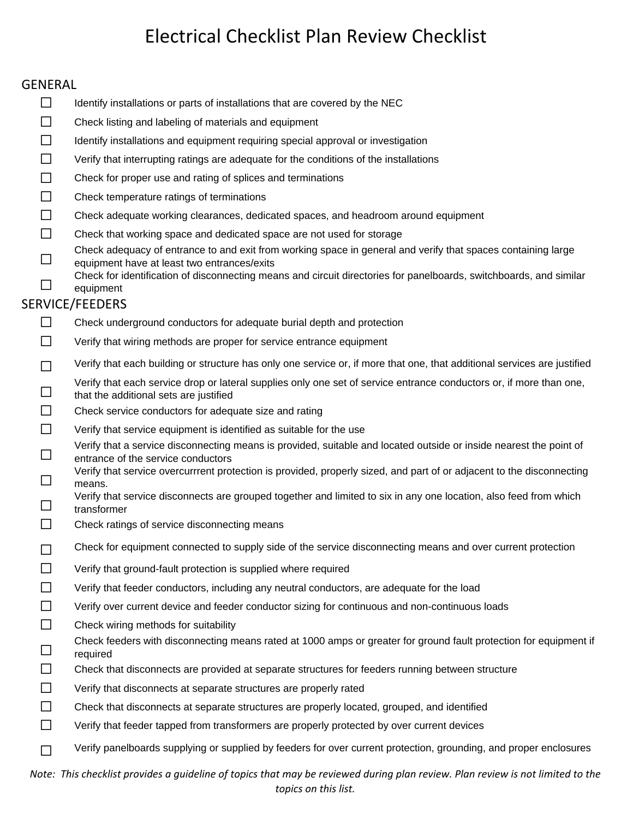#### GENERAL

- $\Box$  Identify installations or parts of installations that are covered by the NEC
- ☐ Check listing and labeling of materials and equipment
- ☐ Identify installations and equipment requiring special approval or investigation
- ☐ Verify that interrupting ratings are adequate for the conditions of the installations
- $\Box$  Check for proper use and rating of splices and terminations
- □ Check temperature ratings of terminations
- ☐ Check adequate working clearances, dedicated spaces, and headroom around equipment
- ☐ Check that working space and dedicated space are not used for storage
- Check adequacy of entrance to and exit from working space in general and verify that spaces containing large<br>
equipment have at least two entrances/exits equipment have at least two entrances/exits
- Check for identification of disconnecting means and circuit directories for panelboards, switchboards, and similar<br>
 equipment equipment

#### SERVICE/FEEDERS

- $\Box$  Check underground conductors for adequate burial depth and protection
- ☐ Verify that wiring methods are proper for service entrance equipment
- □ Verify that each building or structure has only one service or, if more that one, that additional services are justified
- Verify that each service drop or lateral supplies only one set of service entrance conductors or, if more than one,<br>that the additional sets are justified that the additional sets are justified
- □ Check service conductors for adequate size and rating
- ☐ Verify that service equipment is identified as suitable for the use
- Verify that a service disconnecting means is provided, suitable and located outside or inside nearest the point of entrance of the service conductors entrance of the service conductors
- Verify that service overcurrrent protection is provided, properly sized, and part of or adjacent to the disconnecting<br>means means.
- Verify that service disconnects are grouped together and limited to six in any one location, also feed from which transformer transformer
- $\Box$  Check ratings of service disconnecting means
- □ Check for equipment connected to supply side of the service disconnecting means and over current protection
- ☐ Verify that ground-fault protection is supplied where required
- ☐ Verify that feeder conductors, including any neutral conductors, are adequate for the load
- ☐ Verify over current device and feeder conductor sizing for continuous and non-continuous loads
- $\Box$  Check wiring methods for suitability
- Check feeders with disconnecting means rated at 1000 amps or greater for ground fault protection for equipment if <br>
□ sequited required
- ☐ Check that disconnects are provided at separate structures for feeders running between structure
- ☐ Verify that disconnects at separate structures are properly rated
- ☐ Check that disconnects at separate structures are properly located, grouped, and identified
- $\Box$  Verify that feeder tapped from transformers are properly protected by over current devices
- ☐ Verify panelboards supplying or supplied by feeders for over current protection, grounding, and proper enclosures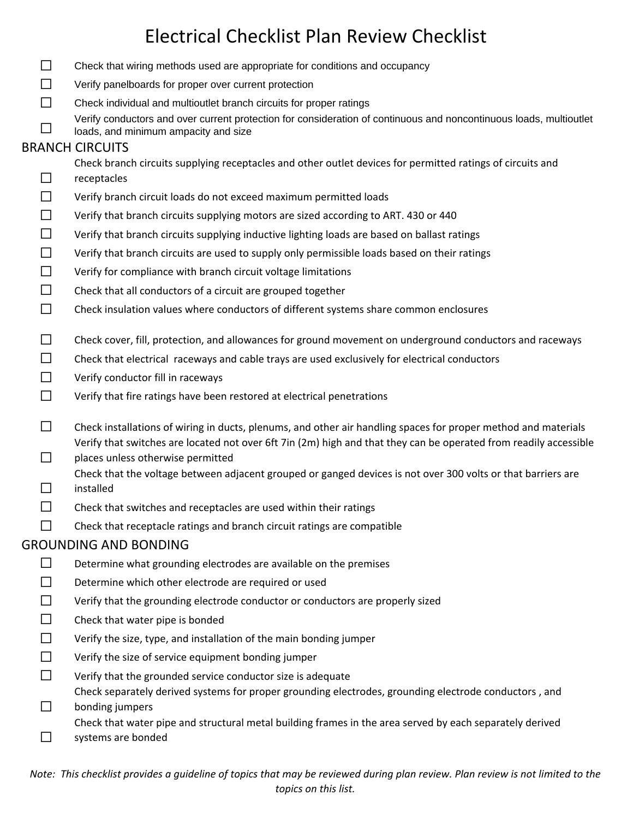- $\Box$  Check that wiring methods used are appropriate for conditions and occupancy ☐ Verify panelboards for proper over current protection ☐ Check individual and multioutlet branch circuits for proper ratings Verify conductors and over current protection for consideration of continuous and noncontinuous loads, multioutlet loads, and minimum ampacity and size BRANCH CIRCUITS ☐ Check branch circuits supplying receptacles and other outlet devices for permitted ratings of circuits and receptacles ☐ Verify branch circuit loads do not exceed maximum permitted loads  $\Box$  Verify that branch circuits supplying motors are sized according to ART. 430 or 440  $\Box$  Verify that branch circuits supplying inductive lighting loads are based on ballast ratings ☐ Verify that branch circuits are used to supply only permissible loads based on their ratings  $\Box$  Verify for compliance with branch circuit voltage limitations □ Check that all conductors of a circuit are grouped together □ Check insulation values where conductors of different systems share common enclosures  $\Box$  Check cover, fill, protection, and allowances for ground movement on underground conductors and raceways ☐ Check that electrical raceways and cable trays are used exclusively for electrical conductors  $\Box$  Verify conductor fill in raceways  $\Box$  Verify that fire ratings have been restored at electrical penetrations  $\Box$  Check installations of wiring in ducts, plenums, and other air handling spaces for proper method and materials  $\Box$ Verify that switches are located not over 6ft 7in (2m) high and that they can be operated from readily accessible places unless otherwise permitted ☐ Check that the voltage between adjacent grouped or ganged devices is not over 300 volts or that barriers are installed  $\Box$  Check that switches and receptacles are used within their ratings  $\Box$  Check that receptacle ratings and branch circuit ratings are compatible GROUNDING AND BONDING  $\Box$  Determine what grounding electrodes are available on the premises □ Determine which other electrode are required or used ☐ Verify that the grounding electrode conductor or conductors are properly sized □ Check that water pipe is bonded  $\Box$  Verify the size, type, and installation of the main bonding jumper  $\Box$  Verify the size of service equipment bonding jumper  $□$  Verify that the grounded service conductor size is adequate ☐ Check separately derived systems for proper grounding electrodes, grounding electrode conductors , and bonding jumpers
	- Check that water pipe and structural metal building frames in the area served by each separately derived
	- ☐ systems are bonded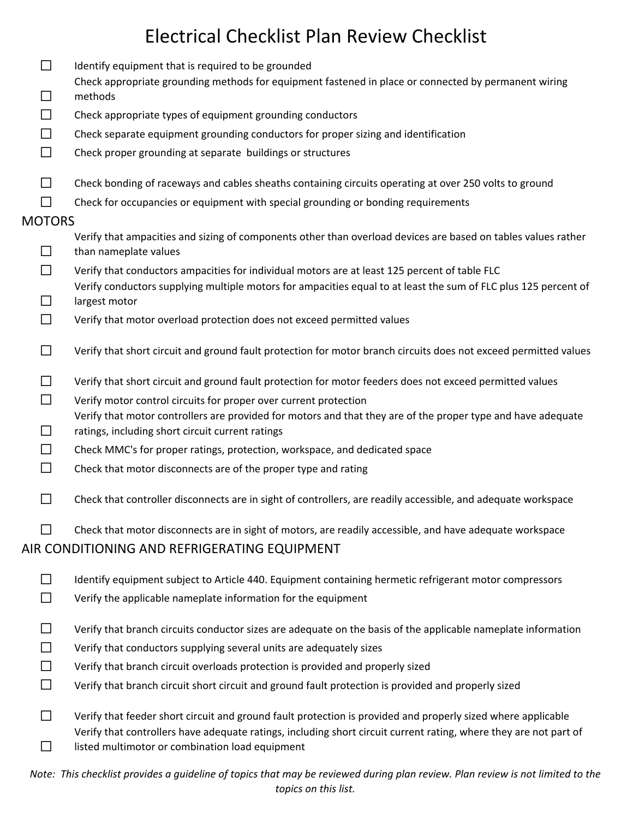| ┑             | Identify equipment that is required to be grounded                                                                                                               |
|---------------|------------------------------------------------------------------------------------------------------------------------------------------------------------------|
| $\Box$        | Check appropriate grounding methods for equipment fastened in place or connected by permanent wiring<br>methods                                                  |
| □             | Check appropriate types of equipment grounding conductors                                                                                                        |
| $\Box$        | Check separate equipment grounding conductors for proper sizing and identification                                                                               |
| $\Box$        | Check proper grounding at separate buildings or structures                                                                                                       |
| □             | Check bonding of raceways and cables sheaths containing circuits operating at over 250 volts to ground                                                           |
| П             | Check for occupancies or equipment with special grounding or bonding requirements                                                                                |
| <b>MOTORS</b> |                                                                                                                                                                  |
| □             | Verify that ampacities and sizing of components other than overload devices are based on tables values rather<br>than nameplate values                           |
| $\Box$        | Verify that conductors ampacities for individual motors are at least 125 percent of table FLC                                                                    |
| $\Box$        | Verify conductors supplying multiple motors for ampacities equal to at least the sum of FLC plus 125 percent of<br>largest motor                                 |
| $\Box$        | Verify that motor overload protection does not exceed permitted values                                                                                           |
| $\Box$        | Verify that short circuit and ground fault protection for motor branch circuits does not exceed permitted values                                                 |
| $\Box$        | Verify that short circuit and ground fault protection for motor feeders does not exceed permitted values                                                         |
| $\Box$        | Verify motor control circuits for proper over current protection                                                                                                 |
| $\Box$        | Verify that motor controllers are provided for motors and that they are of the proper type and have adequate<br>ratings, including short circuit current ratings |
| □             | Check MMC's for proper ratings, protection, workspace, and dedicated space                                                                                       |
| □             | Check that motor disconnects are of the proper type and rating                                                                                                   |
| П             | Check that controller disconnects are in sight of controllers, are readily accessible, and adequate workspace                                                    |
| $\Box$        | Check that motor disconnects are in sight of motors, are readily accessible, and have adequate workspace                                                         |
|               | AIR CONDITIONING AND REFRIGERATING EQUIPMENT                                                                                                                     |
| ΙI            | Identify equipment subject to Article 440. Equipment containing hermetic refrigerant motor compressors                                                           |
| $\Box$        | Verify the applicable nameplate information for the equipment                                                                                                    |
| ΙI            | Verify that branch circuits conductor sizes are adequate on the basis of the applicable nameplate information                                                    |
| □             | Verify that conductors supplying several units are adequately sizes                                                                                              |
| $\Box$        | Verify that branch circuit overloads protection is provided and properly sized                                                                                   |
| □             | Verify that branch circuit short circuit and ground fault protection is provided and properly sized                                                              |
| ΙI            | Verify that feeder short circuit and ground fault protection is provided and properly sized where applicable                                                     |
|               | Verify that controllers have adequate ratings, including short circuit current rating, where they are not part of                                                |
|               | listed multimotor or combination load equipment                                                                                                                  |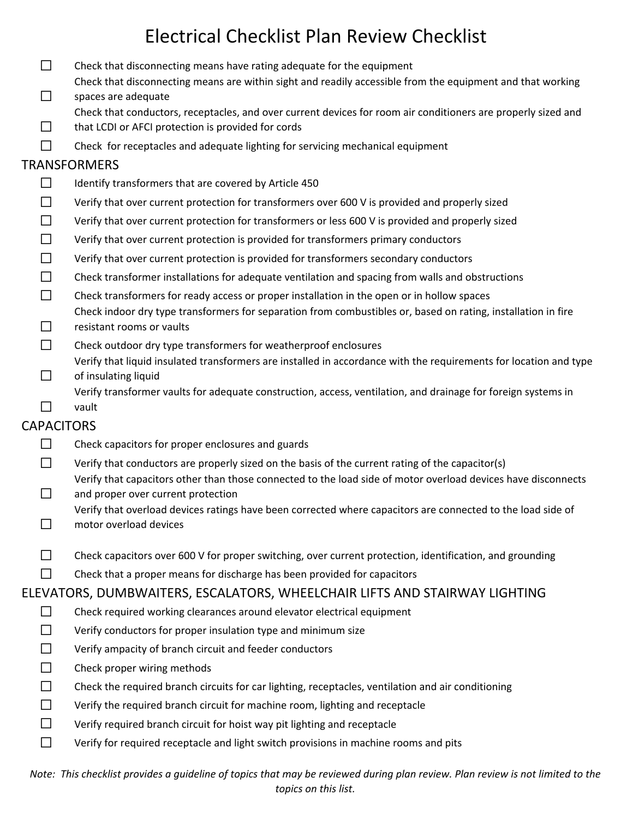- □ Check that disconnecting means have rating adequate for the equipment
- ☐ Check that disconnecting means are within sight and readily accessible from the equipment and that working spaces are adequate
	- Check that conductors, receptacles, and over current devices for room air conditioners are properly sized and
- ☐ that LCDI or AFCI protection is provided for cords
- ☐ Check for receptacles and adequate lighting for servicing mechanical equipment

### TRANSFORMERS

- $\Box$  Identify transformers that are covered by Article 450
- ☐ Verify that over current protection for transformers over 600 V is provided and properly sized
- ☐ Verify that over current protection for transformers or less 600 V is provided and properly sized
- $□$  Verify that over current protection is provided for transformers primary conductors
- ☐ Verify that over current protection is provided for transformers secondary conductors
- $\Box$  Check transformer installations for adequate ventilation and spacing from walls and obstructions
- $\Box$  Check transformers for ready access or proper installation in the open or in hollow spaces Check indoor dry type transformers for separation from combustibles or, based on rating, installation in fire
- ☐ resistant rooms or vaults
- $\Box$  Check outdoor dry type transformers for weatherproof enclosures
- ☐ Verify that liquid insulated transformers are installed in accordance with the requirements for location and type of insulating liquid
	- Verify transformer vaults for adequate construction, access, ventilation, and drainage for foreign systems in vault
- ☐

### **CAPACITORS**

- $\Box$  Check capacitors for proper enclosures and guards
- $□$  Verify that conductors are properly sized on the basis of the current rating of the capacitor(s) Verify that capacitors other than those connected to the load side of motor overload devices have disconnects
- ☐ and proper over current protection Verify that overload devices ratings have been corrected where capacitors are connected to the load side of
- ☐ motor overload devices
- $\Box$  Check capacitors over 600 V for proper switching, over current protection, identification, and grounding
- $\Box$  Check that a proper means for discharge has been provided for capacitors

### ELEVATORS, DUMBWAITERS, ESCALATORS, WHEELCHAIR LIFTS AND STAIRWAY LIGHTING

- □ Check required working clearances around elevator electrical equipment
- $□$  Verify conductors for proper insulation type and minimum size
- $\Box$  Verify ampacity of branch circuit and feeder conductors
- $\Box$  Check proper wiring methods
- $\Box$  Check the required branch circuits for car lighting, receptacles, ventilation and air conditioning
- $□$  Verify the required branch circuit for machine room, lighting and receptacle
- ☐ Verify required branch circuit for hoist way pit lighting and receptacle
- ☐ Verify for required receptacle and light switch provisions in machine rooms and pits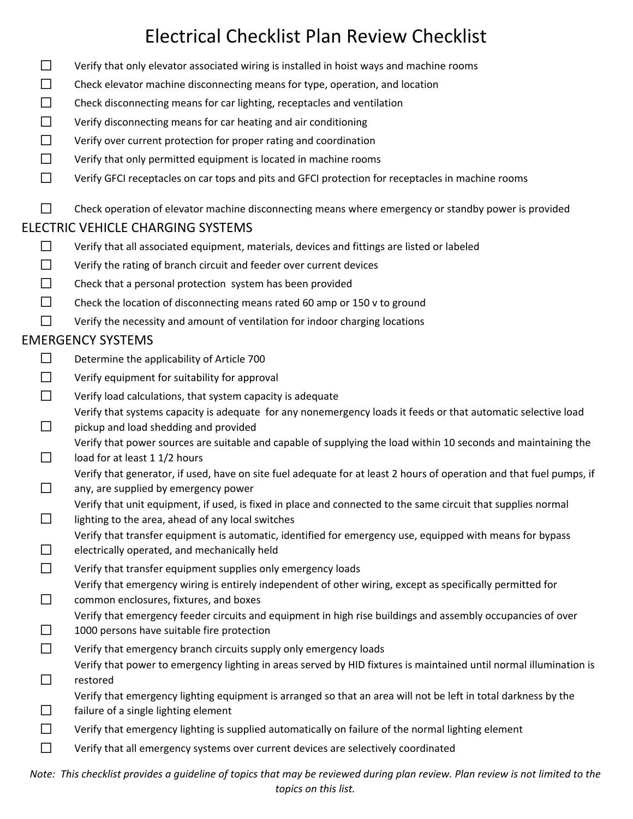- ☐ Verify that only elevator associated wiring is installed in hoist ways and machine rooms
- $\Box$  Check elevator machine disconnecting means for type, operation, and location
- $\Box$  Check disconnecting means for car lighting, receptacles and ventilation
- $□$  Verify disconnecting means for car heating and air conditioning
- $\Box$  Verify over current protection for proper rating and coordination
- $\Box$  Verify that only permitted equipment is located in machine rooms
- ☐ Verify GFCI receptacles on car tops and pits and GFCI protection for receptacles in machine rooms
- $\Box$  Check operation of elevator machine disconnecting means where emergency or standby power is provided

#### ELECTRIC VEHICLE CHARGING SYSTEMS

- ☐ Verify that all associated equipment, materials, devices and fittings are listed or labeled
- ☐ Verify the rating of branch circuit and feeder over current devices
- $□$  Check that a personal protection system has been provided
- $\Box$  Check the location of disconnecting means rated 60 amp or 150 v to ground
- $□$  Verify the necessity and amount of ventilation for indoor charging locations

### EMERGENCY SYSTEMS

- □ Determine the applicability of Article 700
- ☐ Verify equipment for suitability for approval
- $□$  Verify load calculations, that system capacity is adequate Verify that systems capacity is adequate for any nonemergency loads it feeds or that automatic selective load
- ☐ pickup and load shedding and provided Verify that power sources are suitable and capable of supplying the load within 10 seconds and maintaining the
- $\Box$ load for at least 1 1/2 hours
- ☐ Verify that generator, if used, have on site fuel adequate for at least 2 hours of operation and that fuel pumps, if any, are supplied by emergency power
- Verify that unit equipment, if used, is fixed in place and connected to the same circuit that supplies normal
- ☐ lighting to the area, ahead of any local switches
	- Verify that transfer equipment is automatic, identified for emergency use, equipped with means for bypass
- ☐ electrically operated, and mechanically held
- $□$  Verify that transfer equipment supplies only emergency loads
	- Verify that emergency wiring is entirely independent of other wiring, except as specifically permitted for
- $\Box$ common enclosures, fixtures, and boxes Verify that emergency feeder circuits and equipment in high rise buildings and assembly occupancies of over
- ☐ 1000 persons have suitable fire protection
- $□$  Verify that emergency branch circuits supply only emergency loads
- ☐ Verify that power to emergency lighting in areas served by HID fixtures is maintained until normal illumination is restored
- Verify that emergency lighting equipment is arranged so that an area will not be left in total darkness by the
- ☐ failure of a single lighting element
- $\Box$  Verify that emergency lighting is supplied automatically on failure of the normal lighting element
- ☐ Verify that all emergency systems over current devices are selectively coordinated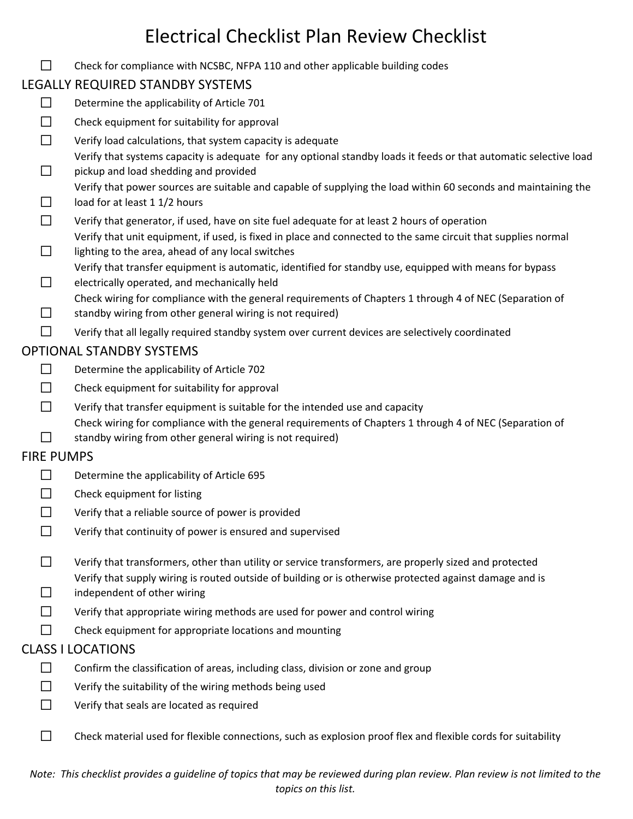□ Check for compliance with NCSBC, NFPA 110 and other applicable building codes

## LEGALLY REQUIRED STANDBY SYSTEMS

- $\Box$  Determine the applicability of Article 701
- ☐ Check equipment for suitability for approval
- $□$  Verify load calculations, that system capacity is adequate
- ☐ Verify that systems capacity is adequate for any optional standby loads it feeds or that automatic selective load pickup and load shedding and provided
	- Verify that power sources are suitable and capable of supplying the load within 60 seconds and maintaining the
- ☐ load for at least 1 1/2 hours
- ☐ Verify that generator, if used, have on site fuel adequate for at least 2 hours of operation
- Verify that unit equipment, if used, is fixed in place and connected to the same circuit that supplies normal
- ☐ lighting to the area, ahead of any local switches Verify that transfer equipment is automatic, identified for standby use, equipped with means for bypass
- ☐ electrically operated, and mechanically held Check wiring for compliance with the general requirements of Chapters 1 through 4 of NEC (Separation of
- ☐ standby wiring from other general wiring is not required)
- $□$  Verify that all legally required standby system over current devices are selectively coordinated

## OPTIONAL STANDBY SYSTEMS

- $\Box$  Determine the applicability of Article 702
- $\Box$  Check equipment for suitability for approval
- ☐ Verify that transfer equipment is suitable for the intended use and capacity
- Check wiring for compliance with the general requirements of Chapters 1 through 4 of NEC (Separation of
- ☐ standby wiring from other general wiring is not required)

## FIRE PUMPS

- ☐ Determine the applicability of Article 695
- $\Box$  Check equipment for listing
- $□$  Verify that a reliable source of power is provided
- ☐ Verify that continuity of power is ensured and supervised
- □ Verify that transformers, other than utility or service transformers, are properly sized and protected ☐ Verify that supply wiring is routed outside of building or is otherwise protected against damage and is independent of other wiring
- $\Box$  Verify that appropriate wiring methods are used for power and control wiring
- $\Box$  Check equipment for appropriate locations and mounting

## CLASS I LOCATIONS

- ☐ Confirm the classification of areas, including class, division or zone and group
- $\Box$  Verify the suitability of the wiring methods being used
- ☐ Verify that seals are located as required
- $\Box$  Check material used for flexible connections, such as explosion proof flex and flexible cords for suitability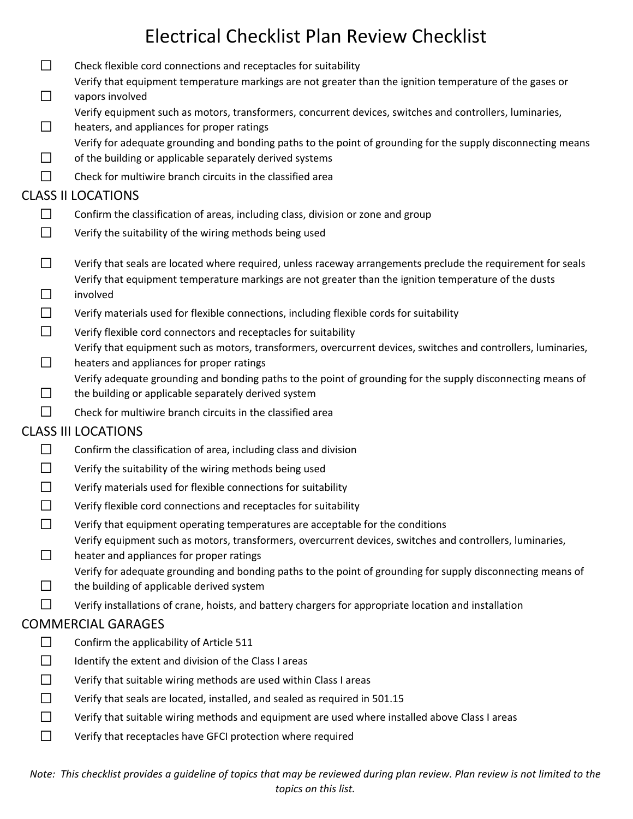- $\Box$  Check flexible cord connections and receptacles for suitability ☐ Verify that equipment temperature markings are not greater than the ignition temperature of the gases or vapors involved ☐ Verify equipment such as motors, transformers, concurrent devices, switches and controllers, luminaries, heaters, and appliances for proper ratings ☐ Verify for adequate grounding and bonding paths to the point of grounding for the supply disconnecting means of the building or applicable separately derived systems  $\Box$  Check for multiwire branch circuits in the classified area CLASS II LOCATIONS  $\Box$  Confirm the classification of areas, including class, division or zone and group  $□$  Verify the suitability of the wiring methods being used  $\Box$  Verify that seals are located where required, unless raceway arrangements preclude the requirement for seals ☐ Verify that equipment temperature markings are not greater than the ignition temperature of the dusts involved  $\Box$  Verify materials used for flexible connections, including flexible cords for suitability  $\Box$  Verify flexible cord connectors and receptacles for suitability ☐ Verify that equipment such as motors, transformers, overcurrent devices, switches and controllers, luminaries, heaters and appliances for proper ratings ☐ Verify adequate grounding and bonding paths to the point of grounding for the supply disconnecting means of the building or applicable separately derived system
	- $\Box$  Check for multiwire branch circuits in the classified area

### CLASS III LOCATIONS

- $\Box$  Confirm the classification of area, including class and division
- $□$  Verify the suitability of the wiring methods being used
- $□$  Verify materials used for flexible connections for suitability
- $\Box$  Verify flexible cord connections and receptacles for suitability
- $\Box$  Verify that equipment operating temperatures are acceptable for the conditions
- Verify equipment such as motors, transformers, overcurrent devices, switches and controllers, luminaries,
- $\Box$ heater and appliances for proper ratings
	- Verify for adequate grounding and bonding paths to the point of grounding for supply disconnecting means of
- ☐ the building of applicable derived system
- $\Box$  Verify installations of crane, hoists, and battery chargers for appropriate location and installation

### COMMERCIAL GARAGES

- $\Box$  Confirm the applicability of Article 511
- $\Box$  Identify the extent and division of the Class I areas
- $\Box$  Verify that suitable wiring methods are used within Class I areas
- $\Box$  Verify that seals are located, installed, and sealed as required in 501.15
- ☐ Verify that suitable wiring methods and equipment are used where installed above Class I areas
- ☐ Verify that receptacles have GFCI protection where required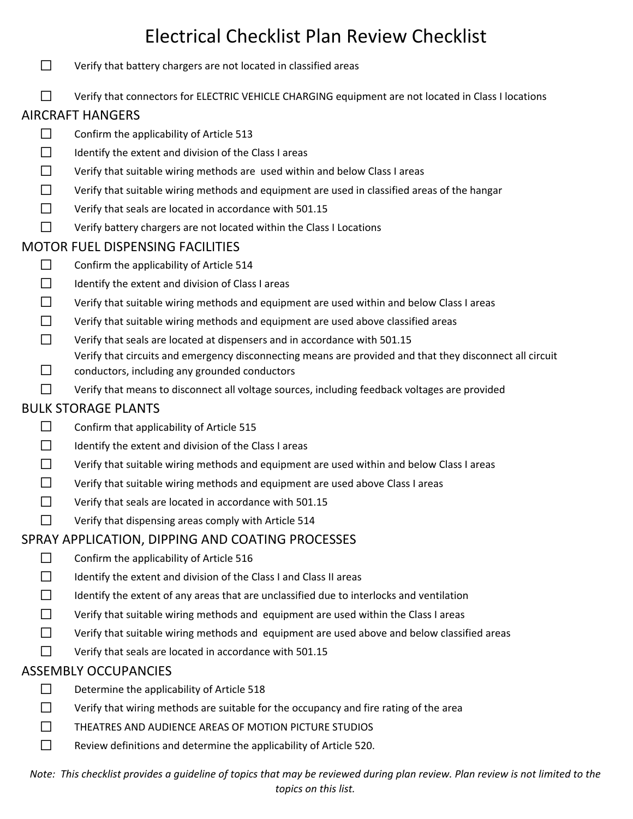- ☐ Verify that battery chargers are not located in classified areas
- ☐ Verify that connectors for ELECTRIC VEHICLE CHARGING equipment are not located in Class I locations

### AIRCRAFT HANGERS

- $\Box$  Confirm the applicability of Article 513
- $\Box$  Identify the extent and division of the Class I areas
- ☐ Verify that suitable wiring methods are used within and below Class I areas
- ☐ Verify that suitable wiring methods and equipment are used in classified areas of the hangar
- $\Box$  Verify that seals are located in accordance with 501.15
- ☐ Verify battery chargers are not located within the Class I Locations

#### MOTOR FUEL DISPENSING FACILITIES

- $\Box$  Confirm the applicability of Article 514
- $\Box$  Identify the extent and division of Class I areas
- ☐ Verify that suitable wiring methods and equipment are used within and below Class I areas
- $\Box$  Verify that suitable wiring methods and equipment are used above classified areas
- $\Box$  Verify that seals are located at dispensers and in accordance with 501.15
- Verify that circuits and emergency disconnecting means are provided and that they disconnect all circuit
- $\Box$ conductors, including any grounded conductors
- $□$  Verify that means to disconnect all voltage sources, including feedback voltages are provided

#### BULK STORAGE PLANTS

- $\Box$  Confirm that applicability of Article 515
- $\Box$  Identify the extent and division of the Class I areas
- ☐ Verify that suitable wiring methods and equipment are used within and below Class I areas
- ☐ Verify that suitable wiring methods and equipment are used above Class I areas
- ☐ Verify that seals are located in accordance with 501.15
- $\Box$  Verify that dispensing areas comply with Article 514

#### SPRAY APPLICATION, DIPPING AND COATING PROCESSES

- $\Box$  Confirm the applicability of Article 516
- $\Box$  Identify the extent and division of the Class I and Class II areas
- $\Box$  Identify the extent of any areas that are unclassified due to interlocks and ventilation
- ☐ Verify that suitable wiring methods and equipment are used within the Class I areas
- $\Box$  Verify that suitable wiring methods and equipment are used above and below classified areas
- $\Box$  Verify that seals are located in accordance with 501.15

#### ASSEMBLY OCCUPANCIES

- $\Box$  Determine the applicability of Article 518
- $\Box$  Verify that wiring methods are suitable for the occupancy and fire rating of the area
- ☐ THEATRES AND AUDIENCE AREAS OF MOTION PICTURE STUDIOS
- $\Box$  Review definitions and determine the applicability of Article 520.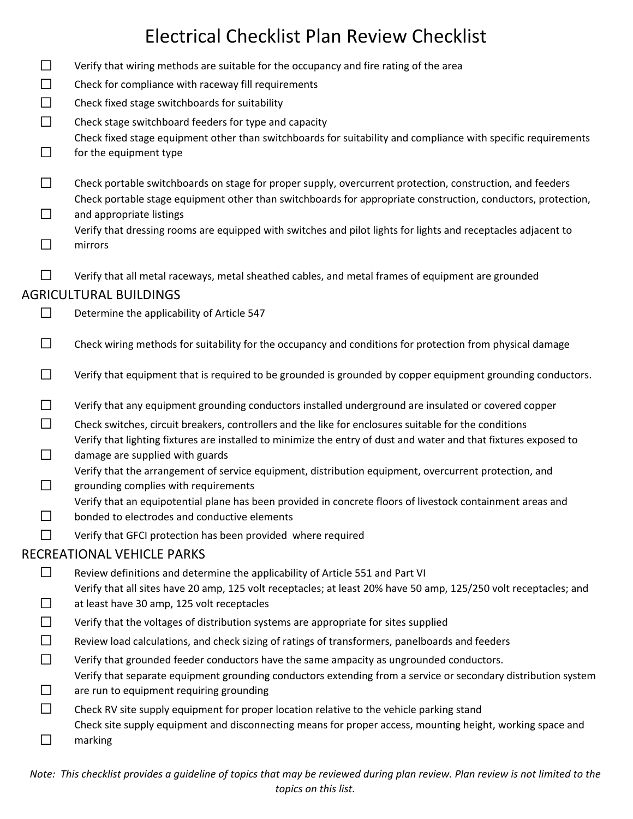|          | LICCUTCAI CHCCKIIJUT IAH INCVICW CHCCKIIJU                                                                                                                                                                                |  |  |  |
|----------|---------------------------------------------------------------------------------------------------------------------------------------------------------------------------------------------------------------------------|--|--|--|
| $\sqcup$ | Verify that wiring methods are suitable for the occupancy and fire rating of the area                                                                                                                                     |  |  |  |
| $\Box$   | Check for compliance with raceway fill requirements                                                                                                                                                                       |  |  |  |
| □        | Check fixed stage switchboards for suitability                                                                                                                                                                            |  |  |  |
| $\Box$   | Check stage switchboard feeders for type and capacity                                                                                                                                                                     |  |  |  |
| ⊔        | Check fixed stage equipment other than switchboards for suitability and compliance with specific requirements<br>for the equipment type                                                                                   |  |  |  |
| ΙI       | Check portable switchboards on stage for proper supply, overcurrent protection, construction, and feeders<br>Check portable stage equipment other than switchboards for appropriate construction, conductors, protection, |  |  |  |
| $\Box$   | and appropriate listings                                                                                                                                                                                                  |  |  |  |
|          | Verify that dressing rooms are equipped with switches and pilot lights for lights and receptacles adjacent to<br>mirrors                                                                                                  |  |  |  |
| П        | Verify that all metal raceways, metal sheathed cables, and metal frames of equipment are grounded                                                                                                                         |  |  |  |
|          | <b>AGRICULTURAL BUILDINGS</b>                                                                                                                                                                                             |  |  |  |
|          | Determine the applicability of Article 547                                                                                                                                                                                |  |  |  |
| ΙI       | Check wiring methods for suitability for the occupancy and conditions for protection from physical damage                                                                                                                 |  |  |  |
| $\Box$   | Verify that equipment that is required to be grounded is grounded by copper equipment grounding conductors.                                                                                                               |  |  |  |
|          | Verify that any equipment grounding conductors installed underground are insulated or covered copper                                                                                                                      |  |  |  |
| $\Box$   | Check switches, circuit breakers, controllers and the like for enclosures suitable for the conditions                                                                                                                     |  |  |  |
|          | Verify that lighting fixtures are installed to minimize the entry of dust and water and that fixtures exposed to<br>damage are supplied with guards                                                                       |  |  |  |
|          | Verify that the arrangement of service equipment, distribution equipment, overcurrent protection, and<br>grounding complies with requirements                                                                             |  |  |  |
|          | Verify that an equipotential plane has been provided in concrete floors of livestock containment areas and                                                                                                                |  |  |  |
|          | bonded to electrodes and conductive elements                                                                                                                                                                              |  |  |  |
|          | Verify that GFCI protection has been provided where required                                                                                                                                                              |  |  |  |
|          | RECREATIONAL VEHICLE PARKS                                                                                                                                                                                                |  |  |  |
|          | Review definitions and determine the applicability of Article 551 and Part VI                                                                                                                                             |  |  |  |
|          | Verify that all sites have 20 amp, 125 volt receptacles; at least 20% have 50 amp, 125/250 volt receptacles; and<br>at least have 30 amp, 125 volt receptacles                                                            |  |  |  |
|          | Verify that the voltages of distribution systems are appropriate for sites supplied                                                                                                                                       |  |  |  |
|          | Review load calculations, and check sizing of ratings of transformers, panelboards and feeders                                                                                                                            |  |  |  |
|          | Verify that grounded feeder conductors have the same ampacity as ungrounded conductors.                                                                                                                                   |  |  |  |
|          | Verify that separate equipment grounding conductors extending from a service or secondary distribution system                                                                                                             |  |  |  |
|          | are run to equipment requiring grounding                                                                                                                                                                                  |  |  |  |
|          | Check RV site supply equipment for proper location relative to the vehicle parking stand<br>Check site supply equipment and disconnecting means for proper access, mounting height, working space and                     |  |  |  |
|          | marking                                                                                                                                                                                                                   |  |  |  |
|          |                                                                                                                                                                                                                           |  |  |  |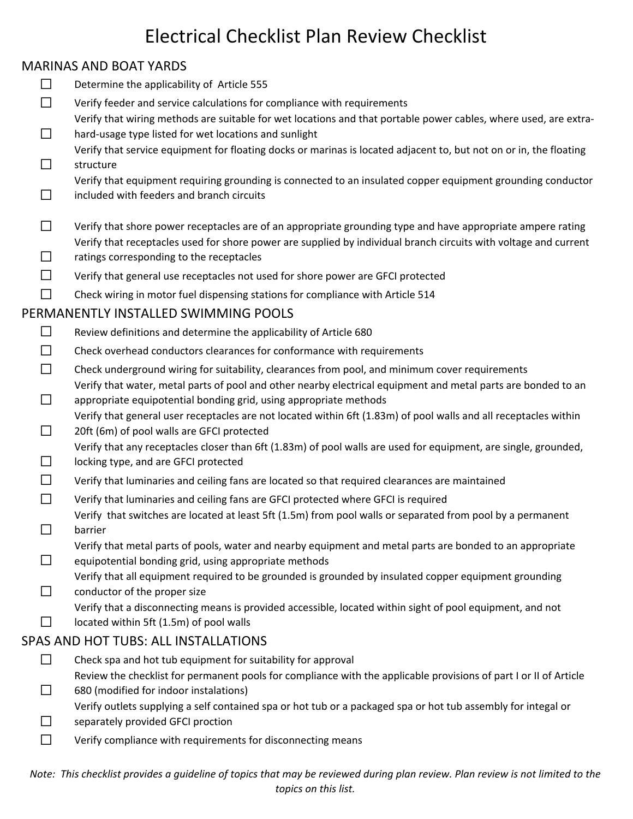### MARINAS AND BOAT YARDS

- ☐ Determine the applicability of Article 555
- ☐ Verify feeder and service calculations for compliance with requirements
- ☐ Verify that wiring methods are suitable for wet locations and that portable power cables, where used, are extra‐ hard‐usage type listed for wet locations and sunlight
- ☐ Verify that service equipment for floating docks or marinas is located adjacent to, but not on or in, the floating structure

Verify that equipment requiring grounding is connected to an insulated copper equipment grounding conductor

- ☐ included with feeders and branch circuits
- $\Box$  Verify that shore power receptacles are of an appropriate grounding type and have appropriate ampere rating Verify that receptacles used for shore power are supplied by individual branch circuits with voltage and current
- ☐ ratings corresponding to the receptacles
- $\Box$  Verify that general use receptacles not used for shore power are GFCI protected
- □ Check wiring in motor fuel dispensing stations for compliance with Article 514

#### PERMANENTLY INSTALLED SWIMMING POOLS

- $\Box$  Review definitions and determine the applicability of Article 680
- □ Check overhead conductors clearances for conformance with requirements
- $\Box$  Check underground wiring for suitability, clearances from pool, and minimum cover requirements
- ☐ Verify that water, metal parts of pool and other nearby electrical equipment and metal parts are bonded to an appropriate equipotential bonding grid, using appropriate methods
- Verify that general user receptacles are not located within 6ft (1.83m) of pool walls and all receptacles within
- ☐ 20ft (6m) of pool walls are GFCI protected Verify that any receptacles closer than 6ft (1.83m) of pool walls are used for equipment, are single, grounded,
- ☐ locking type, and are GFCI protected
- $\Box$  Verify that luminaries and ceiling fans are located so that required clearances are maintained
- $\Box$  Verify that luminaries and ceiling fans are GFCI protected where GFCI is required
- ☐ Verify that switches are located at least 5ft (1.5m) from pool walls or separated from pool by a permanent barrier
- ☐ Verify that metal parts of pools, water and nearby equipment and metal parts are bonded to an appropriate equipotential bonding grid, using appropriate methods
- $\Box$ Verify that all equipment required to be grounded is grounded by insulated copper equipment grounding conductor of the proper size
	- Verify that a disconnecting means is provided accessible, located within sight of pool equipment, and not
- ☐ located within 5ft (1.5m) of pool walls

### SPAS AND HOT TUBS: ALL INSTALLATIONS

- ☐ Check spa and hot tub equipment for suitability for approval Review the checklist for permanent pools for compliance with the applicable provisions of part I or II of Article
- ☐ 680 (modified for indoor instalations)

Verify outlets supplying a self contained spa or hot tub or a packaged spa or hot tub assembly for integal or

- ☐ separately provided GFCI proction
- ☐ Verify compliance with requirements for disconnecting means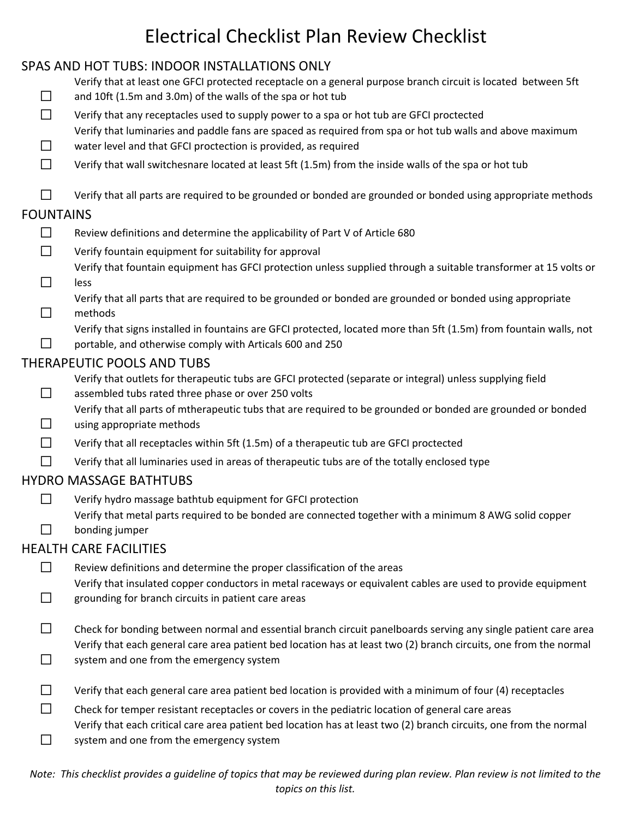### SPAS AND HOT TUBS: INDOOR INSTALLATIONS ONLY

- ☐ Verify that at least one GFCI protected receptacle on a general purpose branch circuit is located between 5ft and 10ft (1.5m and 3.0m) of the walls of the spa or hot tub
- $\Box$  Verify that any receptacles used to supply power to a spa or hot tub are GFCI proctected
- Verify that luminaries and paddle fans are spaced as required from spa or hot tub walls and above maximum
- ☐ water level and that GFCI proctection is provided, as required
- $\Box$  Verify that wall switchesnare located at least 5ft (1.5m) from the inside walls of the spa or hot tub

 $\Box$  Verify that all parts are required to be grounded or bonded are grounded or bonded using appropriate methods

#### FOUNTAINS

☐

- ☐ Review definitions and determine the applicability of Part V of Article 680
- $\Box$  Verify fountain equipment for suitability for approval
- ☐ Verify that fountain equipment has GFCI protection unless supplied through a suitable transformer at 15 volts or less
	- Verify that all parts that are required to be grounded or bonded are grounded or bonded using appropriate
- ☐ methods

Verify that signs installed in fountains are GFCI protected, located more than 5ft (1.5m) from fountain walls, not portable, and otherwise comply with Articals 600 and 250

#### THERAPEUTIC POOLS AND TUBS

Verify that outlets for therapeutic tubs are GFCI protected (separate or integral) unless supplying field

- ☐ assembled tubs rated three phase or over 250 volts
	- Verify that all parts of mtherapeutic tubs that are required to be grounded or bonded are grounded or bonded
- ☐ using appropriate methods
- $\Box$  Verify that all receptacles within 5ft (1.5m) of a therapeutic tub are GFCI proctected
- $\Box$  Verify that all luminaries used in areas of therapeutic tubs are of the totally enclosed type

#### HYDRO MASSAGE BATHTUBS

☐ Verify hydro massage bathtub equipment for GFCI protection ☐ Verify that metal parts required to be bonded are connected together with a minimum 8 AWG solid copper bonding jumper

#### HEALTH CARE FACILITIES

- □ Review definitions and determine the proper classification of the areas Verify that insulated copper conductors in metal raceways or equivalent cables are used to provide equipment
- ☐ grounding for branch circuits in patient care areas
- $□$  Check for bonding between normal and essential branch circuit panelboards serving any single patient care area  $\Box$ Verify that each general care area patient bed location has at least two (2) branch circuits, one from the normal system and one from the emergency system
- $\Box$  Verify that each general care area patient bed location is provided with a minimum of four (4) receptacles
- □ Check for temper resistant receptacles or covers in the pediatric location of general care areas Verify that each critical care area patient bed location has at least two (2) branch circuits, one from the normal
- ☐ system and one from the emergency system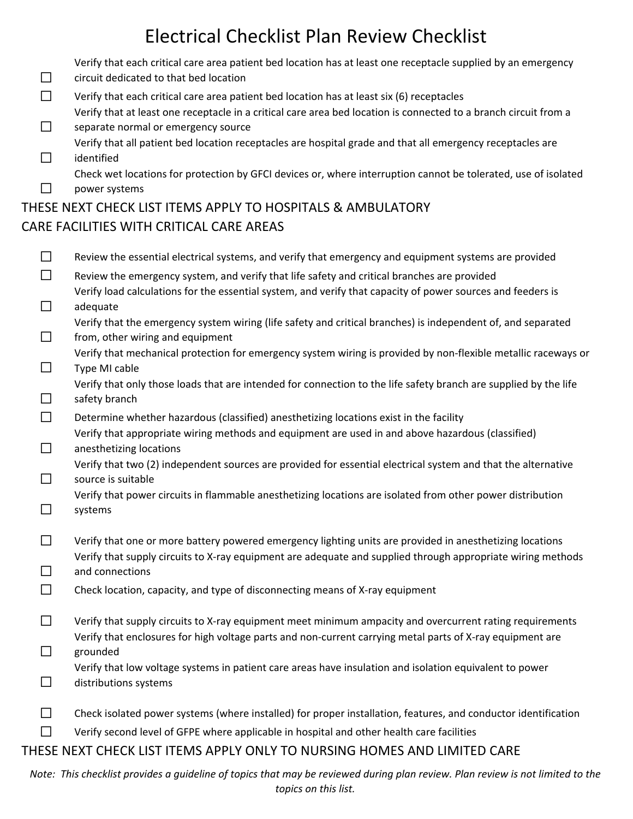|         | Verify that each critical care area patient bed location has at least one receptacle supplied by an emergency    |
|---------|------------------------------------------------------------------------------------------------------------------|
| $\perp$ | circuit dedicated to that bed location                                                                           |
| $\perp$ | Verify that each critical care area patient bed location has at least six (6) receptacles                        |
|         | Verify that at least one receptacle in a critical care area bed location is connected to a branch circuit from a |
| $\Box$  | separate normal or emergency source                                                                              |
|         | Verify that all patient bed location receptacles are hospital grade and that all emergency receptacles are       |

 $\Box$ identified

☐

Check wet locations for protection by GFCI devices or, where interruption cannot be tolerated, use of isolated power systems

### THESE NEXT CHECK LIST ITEMS APPLY TO HOSPITALS & AMBULATORY CARE FACILITIES WITH CRITICAL CARE AREAS

| $\Box$  | Review the essential electrical systems, and verify that emergency and equipment systems are provided                                            |
|---------|--------------------------------------------------------------------------------------------------------------------------------------------------|
| □       | Review the emergency system, and verify that life safety and critical branches are provided                                                      |
|         | Verify load calculations for the essential system, and verify that capacity of power sources and feeders is                                      |
| $\Box$  | adequate                                                                                                                                         |
| □       | Verify that the emergency system wiring (life safety and critical branches) is independent of, and separated<br>from, other wiring and equipment |
|         | Verify that mechanical protection for emergency system wiring is provided by non-flexible metallic raceways or                                   |
| $\perp$ | Type MI cable                                                                                                                                    |
|         | Verify that only those loads that are intended for connection to the life safety branch are supplied by the life<br>safety branch                |
| $\Box$  | Determine whether hazardous (classified) anesthetizing locations exist in the facility                                                           |
| $\Box$  | Verify that appropriate wiring methods and equipment are used in and above hazardous (classified)<br>anesthetizing locations                     |
| □       | Verify that two (2) independent sources are provided for essential electrical system and that the alternative<br>source is suitable              |
| $\Box$  | Verify that power circuits in flammable anesthetizing locations are isolated from other power distribution<br>systems                            |
| □       | Verify that one or more battery powered emergency lighting units are provided in anesthetizing locations                                         |
|         | Verify that supply circuits to X-ray equipment are adequate and supplied through appropriate wiring methods                                      |
|         | and connections                                                                                                                                  |
| $\Box$  | Check location, capacity, and type of disconnecting means of X-ray equipment                                                                     |
| $\Box$  | Verify that supply circuits to X-ray equipment meet minimum ampacity and overcurrent rating requirements                                         |
|         | Verify that enclosures for high voltage parts and non-current carrying metal parts of X-ray equipment are                                        |
| $\Box$  | grounded                                                                                                                                         |
| $\Box$  | Verify that low voltage systems in patient care areas have insulation and isolation equivalent to power<br>distributions systems                 |

|  |  |  |  |  | Check isolated power systems (where installed) for proper installation, features, and conductor identification |
|--|--|--|--|--|----------------------------------------------------------------------------------------------------------------|
|--|--|--|--|--|----------------------------------------------------------------------------------------------------------------|

☐ Verify second level of GFPE where applicable in hospital and other health care facilities

### THESE NEXT CHECK LIST ITEMS APPLY ONLY TO NURSING HOMES AND LIMITED CARE